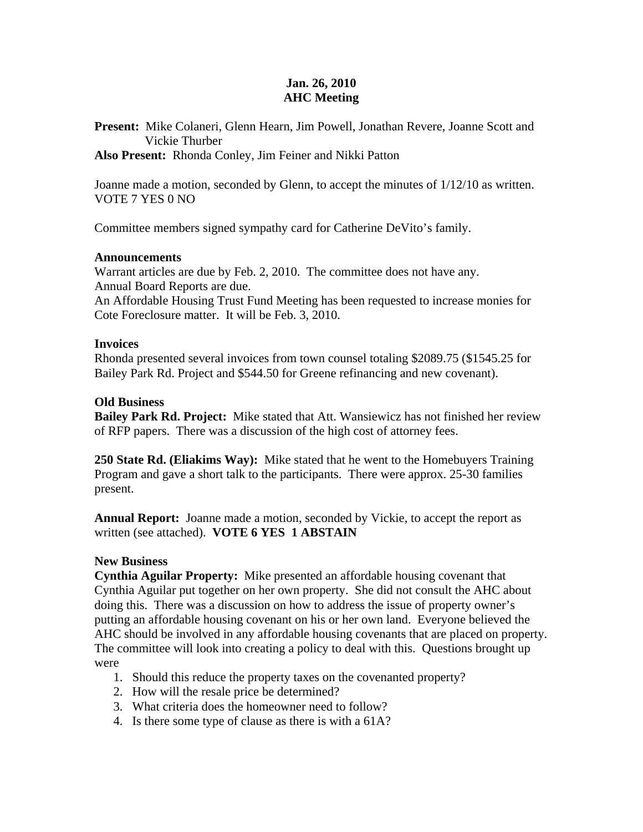## **Jan. 26, 2010 AHC Meeting**

**Present:** Mike Colaneri, Glenn Hearn, Jim Powell, Jonathan Revere, Joanne Scott and Vickie Thurber

**Also Present:** Rhonda Conley, Jim Feiner and Nikki Patton

Joanne made a motion, seconded by Glenn, to accept the minutes of 1/12/10 as written. VOTE 7 YES 0 NO

Committee members signed sympathy card for Catherine DeVito's family.

### **Announcements**

Warrant articles are due by Feb. 2, 2010. The committee does not have any. Annual Board Reports are due.

An Affordable Housing Trust Fund Meeting has been requested to increase monies for Cote Foreclosure matter. It will be Feb. 3, 2010.

### **Invoices**

Rhonda presented several invoices from town counsel totaling \$2089.75 (\$1545.25 for Bailey Park Rd. Project and \$544.50 for Greene refinancing and new covenant).

### **Old Business**

**Bailey Park Rd. Project:** Mike stated that Att. Wansiewicz has not finished her review of RFP papers. There was a discussion of the high cost of attorney fees.

**250 State Rd. (Eliakims Way):** Mike stated that he went to the Homebuyers Training Program and gave a short talk to the participants. There were approx. 25-30 families present.

**Annual Report:** Joanne made a motion, seconded by Vickie, to accept the report as written (see attached). **VOTE 6 YES 1 ABSTAIN** 

### **New Business**

**Cynthia Aguilar Property:** Mike presented an affordable housing covenant that Cynthia Aguilar put together on her own property. She did not consult the AHC about doing this. There was a discussion on how to address the issue of property owner's putting an affordable housing covenant on his or her own land. Everyone believed the AHC should be involved in any affordable housing covenants that are placed on property. The committee will look into creating a policy to deal with this. Questions brought up were

- 1. Should this reduce the property taxes on the covenanted property?
- 2. How will the resale price be determined?
- 3. What criteria does the homeowner need to follow?
- 4. Is there some type of clause as there is with a 61A?